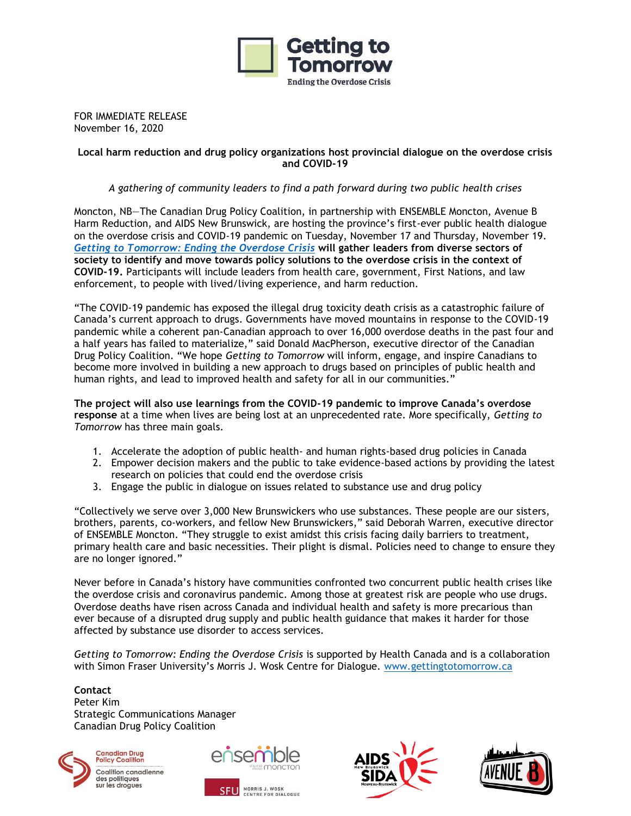

FOR IMMEDIATE RELEASE November 16, 2020

#### **Local harm reduction and drug policy organizations host provincial dialogue on the overdose crisis and COVID-19**

## *A gathering of community leaders to find a path forward during two public health crises*

Moncton, NB—The Canadian Drug Policy Coalition, in partnership with ENSEMBLE Moncton, Avenue B Harm Reduction, and AIDS New Brunswick, are hosting the province's first-ever public health dialogue on the overdose crisis and COVID-19 pandemic on Tuesday, November 17 and Thursday, November 19. *[Getting to Tomorrow: Ending the Overdose Crisis](https://gettingtotomorrow.ca/)* **will gather leaders from diverse sectors of society to identify and move towards policy solutions to the overdose crisis in the context of COVID-19.** Participants will include leaders from health care, government, First Nations, and law enforcement, to people with lived/living experience, and harm reduction.

"The COVID-19 pandemic has exposed the illegal drug toxicity death crisis as a catastrophic failure of Canada's current approach to drugs. Governments have moved mountains in response to the COVID-19 pandemic while a coherent pan-Canadian approach to over 16,000 overdose deaths in the past four and a half years has failed to materialize," said Donald MacPherson, executive director of the Canadian Drug Policy Coalition. "We hope *Getting to Tomorrow* will inform, engage, and inspire Canadians to become more involved in building a new approach to drugs based on principles of public health and human rights, and lead to improved health and safety for all in our communities."

**The project will also use learnings from the COVID-19 pandemic to improve Canada's overdose response** at a time when lives are being lost at an unprecedented rate. More specifically, *Getting to Tomorrow* has three main goals.

- 1. Accelerate the adoption of public health- and human rights-based drug policies in Canada
- 2. Empower decision makers and the public to take evidence-based actions by providing the latest research on policies that could end the overdose crisis
- 3. Engage the public in dialogue on issues related to substance use and drug policy

"Collectively we serve over 3,000 New Brunswickers who use substances. These people are our sisters, brothers, parents, co-workers, and fellow New Brunswickers," said Deborah Warren, executive director of ENSEMBLE Moncton. "They struggle to exist amidst this crisis facing daily barriers to treatment, primary health care and basic necessities. Their plight is dismal. Policies need to change to ensure they are no longer ignored."

Never before in Canada's history have communities confronted two concurrent public health crises like the overdose crisis and coronavirus pandemic. Among those at greatest risk are people who use drugs. Overdose deaths have risen across Canada and individual health and safety is more precarious than ever because of a disrupted drug supply and public health guidance that makes it harder for those affected by substance use disorder to access services.

*Getting to Tomorrow: Ending the Overdose Crisis* is supported by Health Canada and is a collaboration with Simon Fraser University's Morris J. Wosk Centre for Dialogue. [www.gettingtotomorrow.ca](http://www.gettingtotomorrow.ca/)

#### **Contact**

Peter Kim Strategic Communications Manager Canadian Drug Policy Coalition



**Canadian Drug<br>Policy Coalition** Coalition canadienne des politiques sur les droques